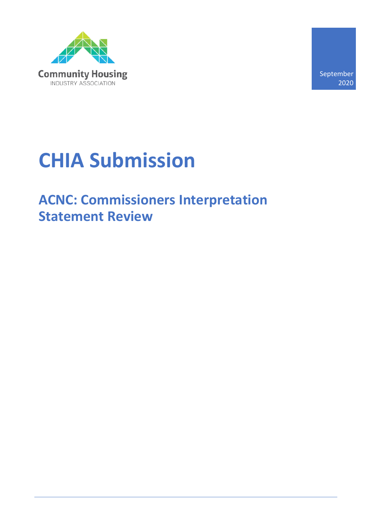

September 2020

# **CHIA Submission**

# **ACNC: Commissioners Interpretation Statement Review**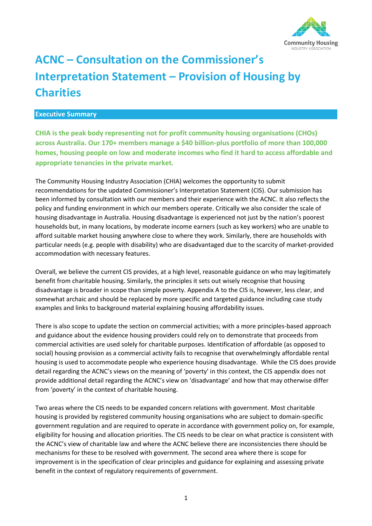

# **ACNC – Consultation on the Commissioner's Interpretation Statement – Provision of Housing by Charities**

#### **Executive Summary**

**CHIA is the peak body representing not for profit community housing organisations (CHOs) across Australia. Our 170+ members manage a \$40 billion-plus portfolio of more than 100,000 homes, housing people on low and moderate incomes who find it hard to access affordable and appropriate tenancies in the private market.** 

The Community Housing Industry Association (CHIA) welcomes the opportunity to submit recommendations for the updated Commissioner's Interpretation Statement (CIS). Our submission has been informed by consultation with our members and their experience with the ACNC. It also reflects the policy and funding environment in which our members operate. Critically we also consider the scale of housing disadvantage in Australia. Housing disadvantage is experienced not just by the nation's poorest households but, in many locations, by moderate income earners (such as key workers) who are unable to afford suitable market housing anywhere close to where they work. Similarly, there are households with particular needs (e.g. people with disability) who are disadvantaged due to the scarcity of market-provided accommodation with necessary features.

Overall, we believe the current CIS provides, at a high level, reasonable guidance on who may legitimately benefit from charitable housing. Similarly, the principles it sets out wisely recognise that housing disadvantage is broader in scope than simple poverty. Appendix A to the CIS is, however, less clear, and somewhat archaic and should be replaced by more specific and targeted guidance including case study examples and links to background material explaining housing affordability issues.

There is also scope to update the section on commercial activities; with a more principles-based approach and guidance about the evidence housing providers could rely on to demonstrate that proceeds from commercial activities are used solely for charitable purposes. Identification of affordable (as opposed to social) housing provision as a commercial activity fails to recognise that overwhelmingly affordable rental housing is used to accommodate people who experience housing disadvantage. While the CIS does provide detail regarding the ACNC's views on the meaning of 'poverty' in this context, the CIS appendix does not provide additional detail regarding the ACNC's view on 'disadvantage' and how that may otherwise differ from 'poverty' in the context of charitable housing.

Two areas where the CIS needs to be expanded concern relations with government. Most charitable housing is provided by registered community housing organisations who are subject to domain-specific government regulation and are required to operate in accordance with government policy on, for example, eligibility for housing and allocation priorities. The CIS needs to be clear on what practice is consistent with the ACNC's view of charitable law and where the ACNC believe there are inconsistencies there should be mechanisms for these to be resolved with government. The second area where there is scope for improvement is in the specification of clear principles and guidance for explaining and assessing private benefit in the context of regulatory requirements of government.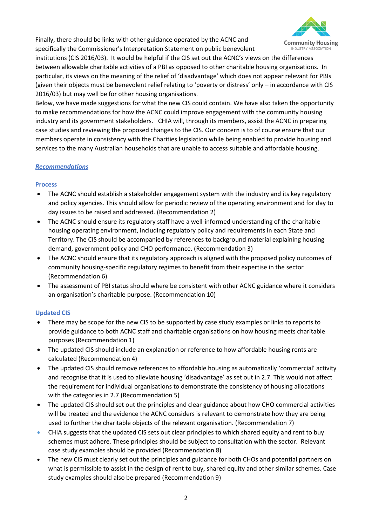Finally, there should be links with other guidance operated by the ACNC and specifically the Commissioner's Interpretation Statement on public benevolent



institutions (CIS 2016/03). It would be helpful if the CIS set out the ACNC's views on the differences between allowable charitable activities of a PBI as opposed to other charitable housing organisations. In particular, its views on the meaning of the relief of 'disadvantage' which does not appear relevant for PBIs (given their objects must be benevolent relief relating to 'poverty or distress' only – in accordance with CIS 2016/03) but may well be for other housing organisations.

Below, we have made suggestions for what the new CIS could contain. We have also taken the opportunity to make recommendations for how the ACNC could improve engagement with the community housing industry and its government stakeholders. CHIA will, through its members, assist the ACNC in preparing case studies and reviewing the proposed changes to the CIS. Our concern is to of course ensure that our members operate in consistency with the Charities legislation while being enabled to provide housing and services to the many Australian households that are unable to access suitable and affordable housing.

#### *Recommendations*

### **Process**

- The ACNC should establish a stakeholder engagement system with the industry and its key regulatory and policy agencies. This should allow for periodic review of the operating environment and for day to day issues to be raised and addressed. (Recommendation 2)
- The ACNC should ensure its regulatory staff have a well-informed understanding of the charitable housing operating environment, including regulatory policy and requirements in each State and Territory. The CIS should be accompanied by references to background material explaining housing demand, government policy and CHO performance. (Recommendation 3)
- The ACNC should ensure that its regulatory approach is aligned with the proposed policy outcomes of community housing-specific regulatory regimes to benefit from their expertise in the sector (Recommendation 6)
- The assessment of PBI status should where be consistent with other ACNC guidance where it considers an organisation's charitable purpose. (Recommendation 10)

### **Updated CIS**

- There may be scope for the new CIS to be supported by case study examples or links to reports to provide guidance to both ACNC staff and charitable organisations on how housing meets charitable purposes (Recommendation 1)
- The updated CIS should include an explanation or reference to how affordable housing rents are calculated (Recommendation 4)
- The updated CIS should remove references to affordable housing as automatically 'commercial' activity and recognise that it is used to alleviate housing 'disadvantage' as set out in 2.7. This would not affect the requirement for individual organisations to demonstrate the consistency of housing allocations with the categories in 2.7 (Recommendation 5)
- The updated CIS should set out the principles and clear guidance about how CHO commercial activities will be treated and the evidence the ACNC considers is relevant to demonstrate how they are being used to further the charitable objects of the relevant organisation. (Recommendation 7)
- CHIA suggests that the updated CIS sets out clear principles to which shared equity and rent to buy schemes must adhere. These principles should be subject to consultation with the sector. Relevant case study examples should be provided (Recommendation 8)
- The new CIS must clearly set out the principles and guidance for both CHOs and potential partners on what is permissible to assist in the design of rent to buy, shared equity and other similar schemes. Case study examples should also be prepared (Recommendation 9)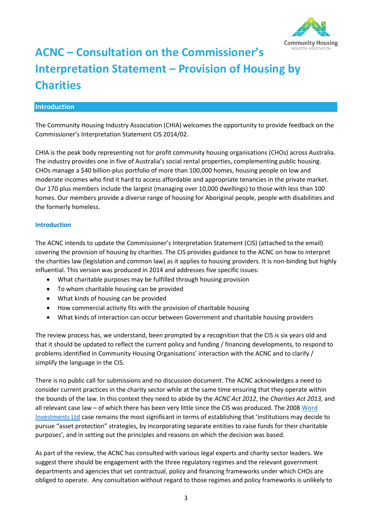

# **ACNC – Consultation on the Commissioner's Interpretation Statement – Provision of Housing by Charities**

#### **Introduction**

The Community Housing Industry Association (CHIA) welcomes the opportunity to provide feedback on the Commissioner's Interpretation Statement CIS 2014/02.

CHIA is the peak body representing not for profit community housing organisations (CHOs) across Australia. The industry provides one in five of Australia's social rental properties, complementing public housing. CHOs manage a \$40 billion-plus portfolio of more than 100,000 homes, housing people on low and moderate incomes who find it hard to access affordable and appropriate tenancies in the private market. Our 170 plus members include the largest (managing over 10,000 dwellings) to those with less than 100 homes. Our members provide a diverse range of housing for Aboriginal people, people with disabilities and the formerly homeless.

#### **Introduction**

The ACNC intends to update the Commissioner's Interpretation Statement (CIS) (attached to the email) covering the provision of housing by charities. The CIS provides guidance to the ACNC on how to interpret the charities law (legislation and common law) as it applies to housing providers. It is non-binding but highly influential. This version was produced in 2014 and addresses five specific issues:

- What charitable purposes may be fulfilled through housing provision
- To whom charitable housing can be provided
- What kinds of housing can be provided
- How commercial activity fits with the provision of charitable housing
- What kinds of interaction can occur between Government and charitable housing providers

The review process has, we understand, been prompted by a recognition that the CIS is six years old and that it should be updated to reflect the current policy and funding / financing developments, to respond to problems identified in Community Housing Organisations' interaction with the ACNC and to clarify / simplify the language in the CIS.

There is no public call for submissions and no discussion document. The ACNC acknowledges a need to consider current practices in the charity sector while at the same time ensuring that they operate within the bounds of the law. In this context they need to abide by the *ACNC Act 2012*, the *Charities Act 2013,* and all relevant case law – of which there has been very little since the CIS was produced. The 2008 [Word](https://www.corneyandlind.com.au/resource-centre/word/)  [Investments Ltd](https://www.corneyandlind.com.au/resource-centre/word/) case remains the most significant in terms of establishing that 'institutions may decide to pursue "asset protection" strategies, by incorporating separate entities to raise funds for their charitable purposes', and in setting out the principles and reasons on which the decision was based.

As part of the review, the ACNC has consulted with various legal experts and charity sector leaders. We suggest there should be engagement with the three regulatory regimes and the relevant government departments and agencies that set contractual, policy and financing frameworks under which CHOs are obliged to operate. Any consultation without regard to those regimes and policy frameworks is unlikely to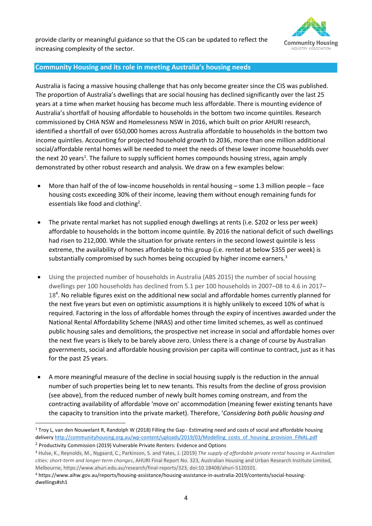provide clarity or meaningful guidance so that the CIS can be updated to reflect the increasing complexity of the sector.



#### **Community Housing and its role in meeting Australia's housing needs**

Australia is facing a massive housing challenge that has only become greater since the CIS was published. The proportion of Australia's dwellings that are social housing has declined significantly over the last 25 years at a time when market housing has become much less affordable. There is mounting evidence of Australia's shortfall of housing affordable to households in the bottom two income quintiles. Research commissioned by CHIA NSW and Homelessness NSW in 2016, which built on prior AHURI research, identified a shortfall of over 650,000 homes across Australia affordable to households in the bottom two income quintiles. Accounting for projected household growth to 2036, more than one million additional social/affordable rental homes will be needed to meet the needs of these lower income households over the next 20 years<sup>1</sup>. The failure to supply sufficient homes compounds housing stress, again amply demonstrated by other robust research and analysis. We draw on a few examples below:

- More than half of the of low-income households in rental housing some 1.3 million people face housing costs exceeding 30% of their income, leaving them without enough remaining funds for essentials like food and clothing<sup>2</sup>.
- The private rental market has not supplied enough dwellings at rents (i.e. \$202 or less per week) affordable to households in the bottom income quintile. By 2016 the national deficit of such dwellings had risen to 212,000. While the situation for private renters in the second lowest quintile is less extreme, the availability of homes affordable to this group (i.e. rented at below \$355 per week) is substantially compromised by such homes being occupied by higher income earners.<sup>3</sup>
- Using the projected number of households in Australia (ABS 2015) the number of social housing dwellings per 100 households has declined from 5.1 per 100 households in 2007–08 to 4.6 in 2017– 18<sup>4</sup>. No reliable figures exist on the additional new social and affordable homes currently planned for the next five years but even on optimistic assumptions it is highly unlikely to exceed 10% of what is required. Factoring in the loss of affordable homes through the expiry of incentives awarded under the National Rental Affordability Scheme (NRAS) and other time limited schemes, as well as continued public housing sales and demolitions, the prospective net increase in social and affordable homes over the next five years is likely to be barely above zero. Unless there is a change of course by Australian governments, social and affordable housing provision per capita will continue to contract, just as it has for the past 25 years.
- A more meaningful measure of the decline in social housing supply is the reduction in the annual number of such properties being let to new tenants. This results from the decline of gross provision (see above), from the reduced number of newly built homes coming onstream, and from the contracting availability of affordable 'move on' accommodation (meaning fewer existing tenants have the capacity to transition into the private market). Therefore, '*Considering both public housing and*

<sup>&</sup>lt;sup>1</sup> Troy L, van den Nouwelant R, Randolph W (2018) Filling the Gap - Estimating need and costs of social and affordable housing delivery http://communityhousing.org.au/wp-content/uploads/2019/03/Modelling\_costs\_of\_housing\_provision\_FINAL.pdf

<sup>&</sup>lt;sup>2</sup> Productivity Commission (2019) Vulnerable Private Renters: Evidence and Options

<sup>3</sup> Hulse, K., Reynolds, M., Nygaard, C., Parkinson, S. and Yates, J. (2019) *The supply of affordable private rental housing in Australian cities: short-term and longer-term changes*, AHURI Final Report No. 323, Australian Housing and Urban Research Institute Limited, Melbourne, https://www.ahuri.edu.au/research/final-reports/323, doi:10.18408/ahuri-5120101.

<sup>4</sup> https://www.aihw.gov.au/reports/housing-assistance/housing-assistance-in-australia-2019/contents/social-housingdwellings#sh1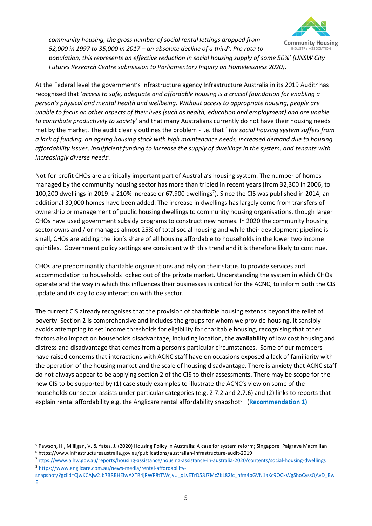

*community housing, the gross number of social rental lettings dropped from 52,000 in 1997 to 35,000 in 2017 – an absolute decline of a third<sup>5</sup> . Pro rata to* 

*population, this represents an effective reduction in social housing supply of some 50%' (UNSW City Futures Research Centre submission to Parliamentary Inquiry on Homelessness 2020).*

At the Federal level the government's infrastructure agency Infrastructure Australia in its 2019 Audit<sup>6</sup> has recognised that '*access to safe, adequate and affordable housing is a crucial foundation for enabling a person's physical and mental health and wellbeing. Without access to appropriate housing, people are unable to focus on other aspects of their lives (such as health, education and employment) and are unable to contribute productively to society*' and that many Australians currently do not have their housing needs met by the market. The audit clearly outlines the problem - i.e. that ' *the social housing system suffers from a lack of funding, an ageing housing stock with high maintenance needs, increased demand due to housing affordability issues, insufficient funding to increase the supply of dwellings in the system, and tenants with increasingly diverse needs'.*

Not-for-profit CHOs are a critically important part of Australia's housing system. The number of homes managed by the community housing sector has more than tripled in recent years (from 32,300 in 2006, to 100,200 dwellings in 2019: a 210% increase or 67,900 dwellings<sup>7</sup>). Since the CIS was published in 2014, an additional 30,000 homes have been added. The increase in dwellings has largely come from transfers of ownership or management of public housing dwellings to community housing organisations, though larger CHOs have used government subsidy programs to construct new homes. In 2020 the community housing sector owns and / or manages almost 25% of total social housing and while their development pipeline is small, CHOs are adding the lion's share of all housing affordable to households in the lower two income quintiles. Government policy settings are consistent with this trend and it is therefore likely to continue.

CHOs are predominantly charitable organisations and rely on their status to provide services and accommodation to households locked out of the private market. Understanding the system in which CHOs operate and the way in which this influences their businesses is critical for the ACNC, to inform both the CIS update and its day to day interaction with the sector.

The current CIS already recognises that the provision of charitable housing extends beyond the relief of poverty. Section 2 is comprehensive and includes the groups for whom we provide housing. It sensibly avoids attempting to set income thresholds for eligibility for charitable housing, recognising that other factors also impact on households disadvantage, including location, the **availability** of low cost housing and distress and disadvantage that comes from a person's particular circumstances. Some of our members have raised concerns that interactions with ACNC staff have on occasions exposed a lack of familiarity with the operation of the housing market and the scale of housing disadvantage. There is anxiety that ACNC staff do not always appear to be applying section 2 of the CIS to their assessments. There may be scope for the new CIS to be supported by (1) case study examples to illustrate the ACNC's view on some of the households our sector assists under particular categories (e.g. 2.7.2 and 2.7.6) and (2) links to reports that explain rental affordability e.g. the Anglicare rental affordability snapshot<sup>8</sup> (Recommendation 1)

<sup>5</sup> Pawson, H., Milligan, V. & Yates, J. (2020) Housing Policy in Australia: A case for system reform; Singapore: Palgrave Macmillan <sup>6</sup> https://www.infrastructureaustralia.gov.au/publications/australian-infrastructure-audit-2019

<sup>7</sup><https://www.aihw.gov.au/reports/housing-assistance/housing-assistance-in-australia-2020/contents/social-housing-dwellings> <sup>8</sup> [https://www.anglicare.com.au/news-media/rental-affordability-](https://www.anglicare.com.au/news-media/rental-affordability-snapshot/?gclid=CjwKCAjw2Jb7BRBHEiwAXTR4jRWP8tTWcjvU_qLvETrD58J7McZKL82fc_nfm4pGVN1aKc9QCkWgShoCyssQAvD_BwE)

[snapshot/?gclid=CjwKCAjw2Jb7BRBHEiwAXTR4jRWP8tTWcjvU\\_qLvETrD58J7McZKL82fc\\_nfm4pGVN1aKc9QCkWgShoCyssQAvD\\_Bw](https://www.anglicare.com.au/news-media/rental-affordability-snapshot/?gclid=CjwKCAjw2Jb7BRBHEiwAXTR4jRWP8tTWcjvU_qLvETrD58J7McZKL82fc_nfm4pGVN1aKc9QCkWgShoCyssQAvD_BwE)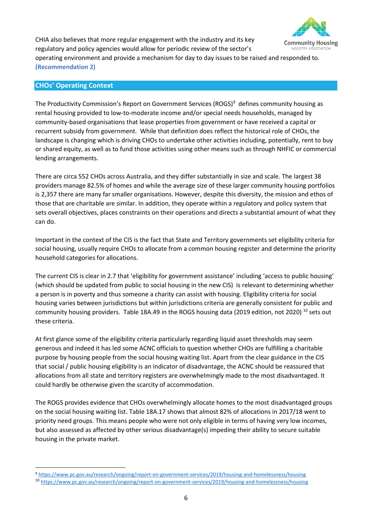

CHIA also believes that more regular engagement with the industry and its key regulatory and policy agencies would allow for periodic review of the sector's operating environment and provide a mechanism for day to day issues to be raised and responded to**. (Recommendation 2)**

#### **CHOs' Operating Context**

The Productivity Commission's Report on Government Services (ROGS)<sup>9</sup> defines community housing as rental housing provided to low-to-moderate income and/or special needs households, managed by community-based organisations that lease properties from government or have received a capital or recurrent subsidy from government. While that definition does reflect the historical role of CHOs, the landscape is changing which is driving CHOs to undertake other activities including, potentially, rent to buy or shared equity, as well as to fund those activities using other means such as through NHFIC or commercial lending arrangements.

There are circa 552 CHOs across Australia, and they differ substantially in size and scale. The largest 38 providers manage 82.5% of homes and while the average size of these larger community housing portfolios is 2,357 there are many far smaller organisations. However, despite this diversity, the mission and ethos of those that are charitable are similar. In addition, they operate within a regulatory and policy system that sets overall objectives, places constraints on their operations and directs a substantial amount of what they can do.

Important in the context of the CIS is the fact that State and Territory governments set eligibility criteria for social housing, usually require CHOs to allocate from a common housing register and determine the priority household categories for allocations.

The current CIS is clear in 2.7 that 'eligibility for government assistance' including 'access to public housing' (which should be updated from public to social housing in the new CIS) is relevant to determining whether a person is in poverty and thus someone a charity can assist with housing. Eligibility criteria for social housing varies between jurisdictions but within jurisdictions criteria are generally consistent for public and community housing providers. Table 18A.49 in the ROGS housing data (2019 edition, not 2020) <sup>10</sup> sets out these criteria.

At first glance some of the eligibility criteria particularly regarding liquid asset thresholds may seem generous and indeed it has led some ACNC officials to question whether CHOs are fulfilling a charitable purpose by housing people from the social housing waiting list. Apart from the clear guidance in the CIS that social / public housing eligibility is an indicator of disadvantage, the ACNC should be reassured that allocations from all state and territory registers are overwhelmingly made to the most disadvantaged. It could hardly be otherwise given the scarcity of accommodation.

The ROGS provides evidence that CHOs overwhelmingly allocate homes to the most disadvantaged groups on the social housing waiting list. Table 18A.17 shows that almost 82% of allocations in 2017/18 went to priority need groups. This means people who were not only eligible in terms of having very low incomes, but also assessed as affected by other serious disadvantage(s) impeding their ability to secure suitable housing in the private market.

<sup>9</sup> <https://www.pc.gov.au/research/ongoing/report-on-government-services/2019/housing-and-homelessness/housing>

<sup>10</sup> <https://www.pc.gov.au/research/ongoing/report-on-government-services/2019/housing-and-homelessness/housing>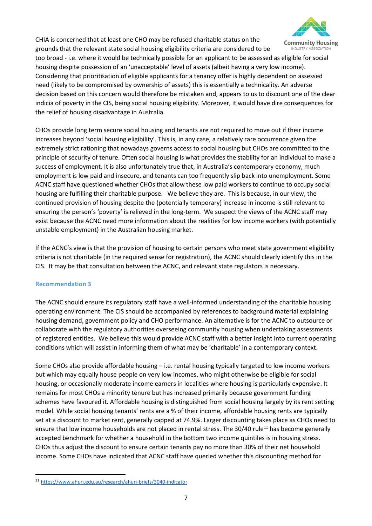

CHIA is concerned that at least one CHO may be refused charitable status on the grounds that the relevant state social housing eligibility criteria are considered to be

too broad - i.e. where it would be technically possible for an applicant to be assessed as eligible for social housing despite possession of an 'unacceptable' level of assets (albeit having a very low income). Considering that prioritisation of eligible applicants for a tenancy offer is highly dependent on assessed need (likely to be compromised by ownership of assets) this is essentially a technicality. An adverse decision based on this concern would therefore be mistaken and, appears to us to discount one of the clear indicia of poverty in the CIS, being social housing eligibility. Moreover, it would have dire consequences for the relief of housing disadvantage in Australia.

CHOs provide long term secure social housing and tenants are not required to move out if their income increases beyond 'social housing eligibility'. This is, in any case, a relatively rare occurrence given the extremely strict rationing that nowadays governs access to social housing but CHOs are committed to the principle of security of tenure. Often social housing is what provides the stability for an individual to make a success of employment. It is also unfortunately true that, in Australia's contemporary economy, much employment is low paid and insecure, and tenants can too frequently slip back into unemployment. Some ACNC staff have questioned whether CHOs that allow these low paid workers to continue to occupy social housing are fulfilling their charitable purpose. We believe they are. This is because, in our view, the continued provision of housing despite the (potentially temporary) increase in income is still relevant to ensuring the person's 'poverty' is relieved in the long-term. We suspect the views of the ACNC staff may exist because the ACNC need more information about the realities for low income workers (with potentially unstable employment) in the Australian housing market.

If the ACNC's view is that the provision of housing to certain persons who meet state government eligibility criteria is not charitable (in the required sense for registration), the ACNC should clearly identify this in the CIS. It may be that consultation between the ACNC, and relevant state regulators is necessary.

#### **Recommendation 3**

The ACNC should ensure its regulatory staff have a well-informed understanding of the charitable housing operating environment. The CIS should be accompanied by references to background material explaining housing demand, government policy and CHO performance. An alternative is for the ACNC to outsource or collaborate with the regulatory authorities overseeing community housing when undertaking assessments of registered entities. We believe this would provide ACNC staff with a better insight into current operating conditions which will assist in informing them of what may be 'charitable' in a contemporary context.

Some CHOs also provide affordable housing – i.e. rental housing typically targeted to low income workers but which may equally house people on very low incomes, who might otherwise be eligible for social housing, or occasionally moderate income earners in localities where housing is particularly expensive. It remains for most CHOs a minority tenure but has increased primarily because government funding schemes have favoured it. Affordable housing is distinguished from social housing largely by its rent setting model. While social housing tenants' rents are a % of their income, affordable housing rents are typically set at a discount to market rent, generally capped at 74.9%. Larger discounting takes place as CHOs need to ensure that low income households are not placed in rental stress. The 30/40 rule<sup>11</sup> has become generally accepted benchmark for whether a household in the bottom two income quintiles is in housing stress. CHOs thus adjust the discount to ensure certain tenants pay no more than 30% of their net household income. Some CHOs have indicated that ACNC staff have queried whether this discounting method for

<sup>11</sup> <https://www.ahuri.edu.au/research/ahuri-briefs/3040-indicator>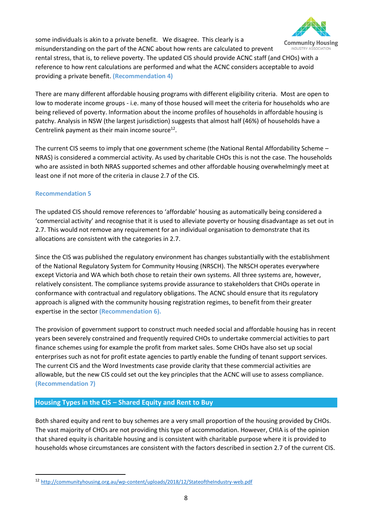

some individuals is akin to a private benefit. We disagree. This clearly is a misunderstanding on the part of the ACNC about how rents are calculated to prevent INDUSTRY ASSOCIATIO rental stress, that is, to relieve poverty. The updated CIS should provide ACNC staff (and CHOs) with a reference to how rent calculations are performed and what the ACNC considers acceptable to avoid providing a private benefit. **(Recommendation 4)**

There are many different affordable housing programs with different eligibility criteria. Most are open to low to moderate income groups - i.e. many of those housed will meet the criteria for households who are being relieved of poverty. Information about the income profiles of households in affordable housing is patchy. Analysis in NSW (the largest jurisdiction) suggests that almost half (46%) of households have a Centrelink payment as their main income source $^{12}$ .

The current CIS seems to imply that one government scheme (the National Rental Affordability Scheme – NRAS) is considered a commercial activity. As used by charitable CHOs this is not the case. The households who are assisted in both NRAS supported schemes and other affordable housing overwhelmingly meet at least one if not more of the criteria in clause 2.7 of the CIS.

#### **Recommendation 5**

The updated CIS should remove references to 'affordable' housing as automatically being considered a 'commercial activity' and recognise that it is used to alleviate poverty or housing disadvantage as set out in 2.7. This would not remove any requirement for an individual organisation to demonstrate that its allocations are consistent with the categories in 2.7.

Since the CIS was published the regulatory environment has changes substantially with the establishment of the National Regulatory System for Community Housing (NRSCH). The NRSCH operates everywhere except Victoria and WA which both chose to retain their own systems. All three systems are, however, relatively consistent. The compliance systems provide assurance to stakeholders that CHOs operate in conformance with contractual and regulatory obligations. The ACNC should ensure that its regulatory approach is aligned with the community housing registration regimes, to benefit from their greater expertise in the sector **(Recommendation 6).**

The provision of government support to construct much needed social and affordable housing has in recent years been severely constrained and frequently required CHOs to undertake commercial activities to part finance schemes using for example the profit from market sales. Some CHOs have also set up social enterprises such as not for profit estate agencies to partly enable the funding of tenant support services. The current CIS and the Word Investments case provide clarity that these commercial activities are allowable, but the new CIS could set out the key principles that the ACNC will use to assess compliance. **(Recommendation 7)**

### **Housing Types in the CIS – Shared Equity and Rent to Buy**

Both shared equity and rent to buy schemes are a very small proportion of the housing provided by CHOs. The vast majority of CHOs are not providing this type of accommodation. However, CHIA is of the opinion that shared equity is charitable housing and is consistent with charitable purpose where it is provided to households whose circumstances are consistent with the factors described in section 2.7 of the current CIS.

<sup>12</sup> <http://communityhousing.org.au/wp-content/uploads/2018/12/StateoftheIndustry-web.pdf>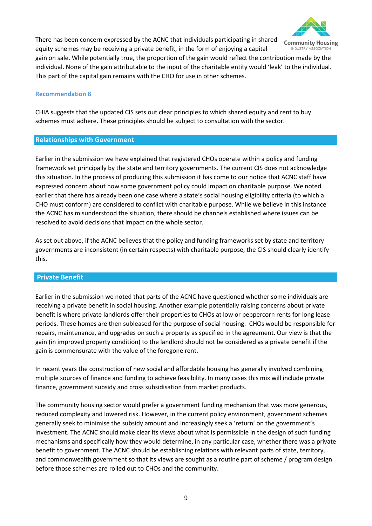

There has been concern expressed by the ACNC that individuals participating in shared equity schemes may be receiving a private benefit, in the form of enjoying a capital

gain on sale. While potentially true, the proportion of the gain would reflect the contribution made by the individual. None of the gain attributable to the input of the charitable entity would 'leak' to the individual. This part of the capital gain remains with the CHO for use in other schemes.

#### **Recommendation 8**

CHIA suggests that the updated CIS sets out clear principles to which shared equity and rent to buy schemes must adhere. These principles should be subject to consultation with the sector.

#### **Relationships with Government**

Earlier in the submission we have explained that registered CHOs operate within a policy and funding framework set principally by the state and territory governments. The current CIS does not acknowledge this situation. In the process of producing this submission it has come to our notice that ACNC staff have expressed concern about how some government policy could impact on charitable purpose. We noted earlier that there has already been one case where a state's social housing eligibility criteria (to which a CHO must conform) are considered to conflict with charitable purpose. While we believe in this instance the ACNC has misunderstood the situation, there should be channels established where issues can be resolved to avoid decisions that impact on the whole sector.

As set out above, if the ACNC believes that the policy and funding frameworks set by state and territory governments are inconsistent (in certain respects) with charitable purpose, the CIS should clearly identify this.

#### **Private Benefit**

Earlier in the submission we noted that parts of the ACNC have questioned whether some individuals are receiving a private benefit in social housing. Another example potentially raising concerns about private benefit is where private landlords offer their properties to CHOs at low or peppercorn rents for long lease periods. These homes are then subleased for the purpose of social housing. CHOs would be responsible for repairs, maintenance, and upgrades on such a property as specified in the agreement. Our view is that the gain (in improved property condition) to the landlord should not be considered as a private benefit if the gain is commensurate with the value of the foregone rent.

In recent years the construction of new social and affordable housing has generally involved combining multiple sources of finance and funding to achieve feasibility. In many cases this mix will include private finance, government subsidy and cross subsidisation from market products.

The community housing sector would prefer a government funding mechanism that was more generous, reduced complexity and lowered risk. However, in the current policy environment, government schemes generally seek to minimise the subsidy amount and increasingly seek a 'return' on the government's investment. The ACNC should make clear its views about what is permissible in the design of such funding mechanisms and specifically how they would determine, in any particular case, whether there was a private benefit to government. The ACNC should be establishing relations with relevant parts of state, territory, and commonwealth government so that its views are sought as a routine part of scheme / program design before those schemes are rolled out to CHOs and the community.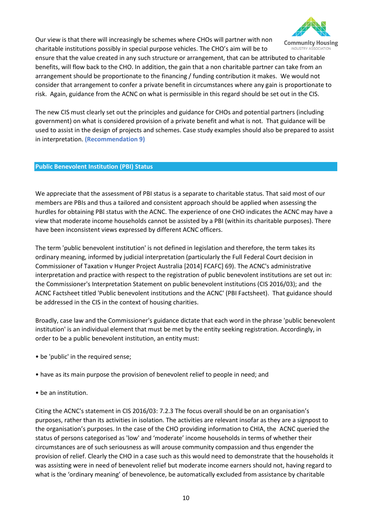

Our view is that there will increasingly be schemes where CHOs will partner with non charitable institutions possibly in special purpose vehicles. The CHO's aim will be to

ensure that the value created in any such structure or arrangement, that can be attributed to charitable benefits, will flow back to the CHO. In addition, the gain that a non charitable partner can take from an arrangement should be proportionate to the financing / funding contribution it makes. We would not consider that arrangement to confer a private benefit in circumstances where any gain is proportionate to risk. Again, guidance from the ACNC on what is permissible in this regard should be set out in the CIS.

The new CIS must clearly set out the principles and guidance for CHOs and potential partners (including government) on what is considered provision of a private benefit and what is not. That guidance will be used to assist in the design of projects and schemes. Case study examples should also be prepared to assist in interpretation. **(Recommendation 9)**

#### **Public Benevolent Institution (PBI) Status**

We appreciate that the assessment of PBI status is a separate to charitable status. That said most of our members are PBIs and thus a tailored and consistent approach should be applied when assessing the hurdles for obtaining PBI status with the ACNC. The experience of one CHO indicates the ACNC may have a view that moderate income households cannot be assisted by a PBI (within its charitable purposes). There have been inconsistent views expressed by different ACNC officers.

The term 'public benevolent institution' is not defined in legislation and therefore, the term takes its ordinary meaning, informed by judicial interpretation (particularly the Full Federal Court decision in Commissioner of Taxation v Hunger Project Australia [2014] FCAFC] 69). The ACNC's administrative interpretation and practice with respect to the registration of public benevolent institutions are set out in: the Commissioner's Interpretation Statement on public benevolent institutions (CIS 2016/03); and the ACNC Factsheet titled 'Public benevolent institutions and the ACNC' (PBI Factsheet). That guidance should be addressed in the CIS in the context of housing charities.

Broadly, case law and the Commissioner's guidance dictate that each word in the phrase 'public benevolent institution' is an individual element that must be met by the entity seeking registration. Accordingly, in order to be a public benevolent institution, an entity must:

- be 'public' in the required sense;
- have as its main purpose the provision of benevolent relief to people in need; and
- be an institution.

Citing the ACNC's statement in CIS 2016/03: 7.2.3 The focus overall should be on an organisation's purposes, rather than its activities in isolation. The activities are relevant insofar as they are a signpost to the organisation's purposes. In the case of the CHO providing information to CHIA, the ACNC queried the status of persons categorised as 'low' and 'moderate' income households in terms of whether their circumstances are of such seriousness as will arouse community compassion and thus engender the provision of relief. Clearly the CHO in a case such as this would need to demonstrate that the households it was assisting were in need of benevolent relief but moderate income earners should not, having regard to what is the 'ordinary meaning' of benevolence, be automatically excluded from assistance by charitable